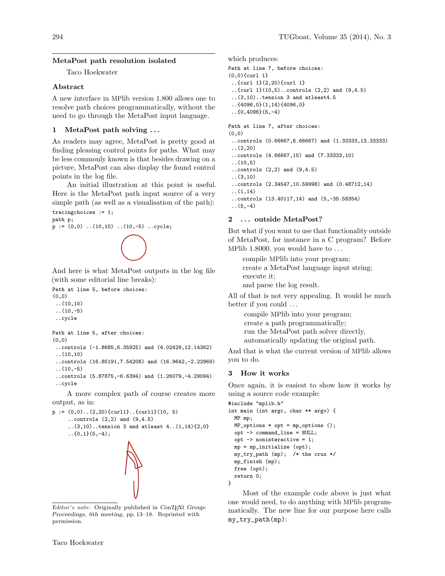# MetaPost path resolution isolated

Taco Hoekwater

## Abstract

A new interface in MPlib version 1.800 allows one to resolve path choices programmatically, without the need to go through the MetaPost input language.

## 1 MetaPost path solving . . .

As readers may agree, MetaPost is pretty good at finding pleasing control points for paths. What may be less commonly known is that besides drawing on a picture, MetaPost can also display the found control points in the log file.

An initial illustration at this point is useful. Here is the MetaPost path input source of a very simple path (as well as a visualisation of the path): tracingchoices := 1;

path p;  $p := (0,0)$  .. $(10,10)$  .. $(10,-5)$  ..cycle;

## And here is what MetaPost outputs in the log file (with some editorial line breaks):

```
Path at line 5, before choices:
(0,0)
..(10,10)
\ldots(10,-5)..cycle
```

```
Path at line 5, after choices:
(0,0)
```

```
..controls (-1.8685,6.35925) and (4.02429,12.14362)
..(10,10)
```

```
..controls (16.85191,7.54208) and (16.9642,-2.22969)
\ldots(10,-5)
```

```
..controls (5.87875,-6.6394) and (1.26079,-4.29094)
..cycle
```
A more complex path of course creates more output, as in:

```
p := (0,0)..(2,20){curl1}..{curl1}(10, 5)
     ..controls (2,2) and (9,4.5)
     (3,10)..tension 3 and atleast 4..(1,14)\{2,0\}\ldots{0,1}(5,-4);
```
Editor's note: Originally published in ConTEXt Group: Proceedings, 6th meeting, pp. 13–18. Reprinted with permission.

which produces:

```
Path at line 7, before choices:
```

```
(0,0){curl 1}
```

```
..{curl 1}(2,20){curl 1}
```

```
..{curl 1}(10,5)..controls (2,2) and (9,4.5)
..(3,10)..tension 3 and atleast4.5
```
..{4096,0}(1,14){4096,0}

```
.6(0,4096)(5,-4)
```
Path at line 7, after choices:

```
(0,0)
```
- ..controls (0.66667,6.66667) and (1.33333,13.33333) ..(2,20)
- ..controls (4.66667,15) and (7.33333,10)
- ..(10,5)
- ..controls (2,2) and (9,4.5) ..(3,10)
- ..controls (2.34547,10.59998) and (0.48712,14)
- ..(1,14)
- ..controls (13.40117,14) and (5,-35.58354)

```
(5,-4)
```
# 2 ... outside MetaPost?

But what if you want to use that functionality outside of MetaPost, for instance in a C program? Before MPlib 1.8000, you would have to  $\dots$ 

compile MPlib into your program; create a MetaPost language input string; execute it;

and parse the log result.

All of that is not very appealing. It would be much better if you could . . .

> compile MPlib into your program; create a path programmatically; run the MetaPost path solver directly,

automatically updating the original path.

And that is what the current version of MPlib allows you to do.

## 3 How it works

Once again, it is easiest to show how it works by using a source code example:

```
#include "mplib.h"
int main (int argc, char ** argv) {
 MP mp;
 MP_options * opt = mp_options ();
 opt -> command_line = NULL;
 opt -> noninteractive = 1;
 mp = mp_initialize (opt);
 my_try_path (mp); /* the crux */
 mp_finish (mp);
 free (opt);
 return 0;
}
```
Most of the example code above is just what one would need, to do anything with MPlib programmatically. The new line for our purpose here calls my\_try\_path(mp):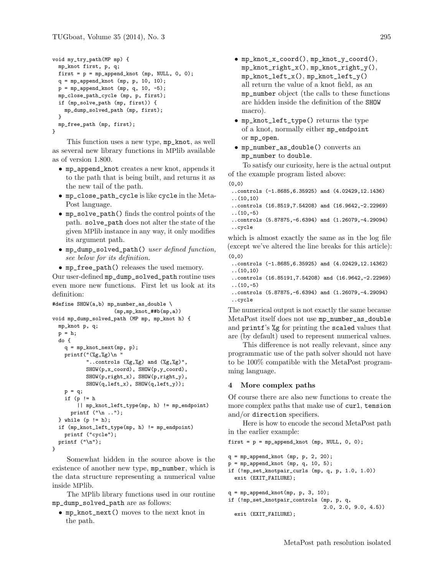```
void my_try_path(MP mp) {
 mp_knot first, p, q;
 first = p = mp_append_knot (mp, NULL, 0, 0);
 q = mp_append_knot (mp, p, 10, 10);
 p = mp_append_knot (mp, q, 10, -5);
 mp_close_path_cycle (mp, p, first);
 if (mp_solve_path (mp, first)) {
   mp_dump_solved_path (mp, first);
 }
 mp_free_path (mp, first);
}
```
This function uses a new type, mp\_knot, as well as several new library functions in MPlib available as of version 1.800.

- mp\_append\_knot creates a new knot, appends it to the path that is being built, and returns it as the new tail of the path.
- mp\_close\_path\_cycle is like cycle in the Meta-Post language.
- mp\_solve\_path() finds the control points of the path. solve\_path does not alter the state of the given MPlib instance in any way, it only modifies its argument path.
- mp\_dump\_solved\_path() user defined function, see below for its definition.
- mp\_free\_path() releases the used memory.

Our user-defined mp\_dump\_solved\_path routine uses even more new functions. First let us look at its definition:

```
#define SHOW(a,b) mp_number_as_double \
                     (mp, mp_knot_#tb(mp, a))void mp_dump_solved_path (MP mp, mp_knot h) {
  mp_knot p, q;
  p = h;
  do {
    q = mp_knot_next(mp, p);
    printf("(\%g, \%g)\n '
           "..controls (\%g, \%g) and (\%g, \%g)",
           SHOW(p,x_coord), SHOW(p,y_coord),
           SHOW(p,right_x), SHOW(p,right_y),
           SHOW(q,left_x), SHOW(q,left_y));
    p = q;if (p != h
        || mp_knot_left_type(mp, h) != mp_endpoint)
      printf ("\n ..");
  } while (p != h);
  if (mp_knot_left_type(mp, h) != mp_endpoint)
    printf ("cycle");
  printf ("n");
}
```
Somewhat hidden in the source above is the existence of another new type, mp\_number, which is the data structure representing a numerical value inside MPlib.

The MPlib library functions used in our routine mp\_dump\_solved\_path are as follows:

• mp\_knot\_next() moves to the next knot in the path.

- mp\_knot\_x\_coord(), mp\_knot\_y\_coord(), mp\_knot\_right\_x(), mp\_knot\_right\_y(), mp\_knot\_left\_x(), mp\_knot\_left\_y() all return the value of a knot field, as an mp\_number object (the calls to these functions are hidden inside the definition of the SHOW macro).
- mp\_knot\_left\_type() returns the type of a knot, normally either mp\_endpoint or mp\_open.
- mp\_number\_as\_double() converts an mp\_number to double.

To satisfy our curiosity, here is the actual output of the example program listed above:

- (0,0)
- ..controls (-1.8685,6.35925) and (4.02429,12.1436) ..(10,10)
- ..controls (16.8519,7.54208) and (16.9642,-2.22969)
- $\ldots(10,-5)$ ..controls (5.87875,-6.6394) and (1.26079,-4.29094) ..cycle

which is almost exactly the same as in the log file (except we've altered the line breaks for this article):  $(0, 0)$ 

- ..controls (-1.8685,6.35925) and (4.02429,12.14362) ..(10,10)
- ..controls (16.85191,7.54208) and (16.9642,-2.22969)  $\ldots(10,-5)$
- ..controls (5.87875,-6.6394) and (1.26079,-4.29094) ..cycle

The numerical output is not exactly the same because MetaPost itself does not use mp\_number\_as\_double and printf's %g for printing the scaled values that are (by default) used to represent numerical values.

This difference is not really relevant, since any programmatic use of the path solver should not have to be 100% compatible with the MetaPost programming language.

### 4 More complex paths

Of course there are also new functions to create the more complex paths that make use of curl, tension and/or direction specifiers.

Here is how to encode the second MetaPost path in the earlier example:

```
first = p = mp append_knot (mp, NULL, 0, 0);
q = mp_append_knot (mp, p, 2, 20);
p = mp_append_knot (mp, q, 10, 5);
if (!mp_set_knotpair_curls (mp, q, p, 1.0, 1.0))
  exit (EXIT_FAILURE);
q = mp_append_knot(mp, p, 3, 10);
if (!mp_set_knotpair_controls (mp, p, q,
                               2.0, 2.0, 9.0, 4.5))
  exit (EXIT_FAILURE);
```